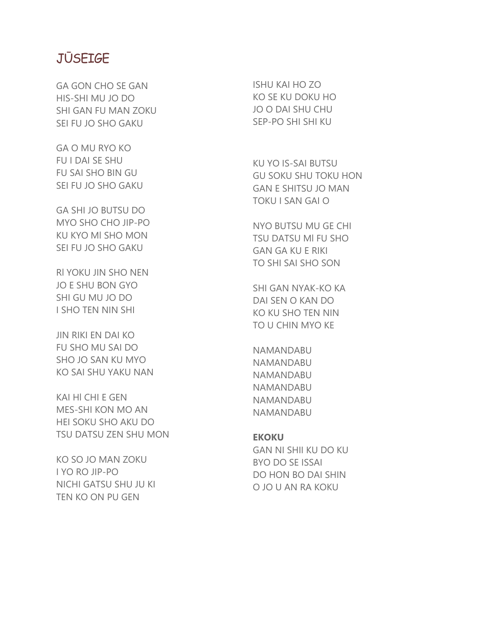## JŪSEIGE

GA GON CHO SE GAN HIS-SHI MU JO DO SHI GAN FU MAN ZOKU SEI FU JO SHO GAKU

GA O MU RYO KO FU I DAI SE SHU FU SAI SHO BIN GU SEI FU JO SHO GAKU

GA SHI JO BUTSU DO MYO SHO CHO JIP-PO KU KYO Ml SHO MON SEI FU JO SHO GAKU

Rl YOKU JIN SHO NEN JO E SHU BON GYO SHI GU MU JO DO I SHO TEN NIN SHI

JIN RIKI EN DAI KO FU SHO MU SAI DO SHO JO SAN KU MYO KO SAI SHU YAKU NAN

KAI Hl CHI E GEN MES-SHI KON MO AN HEI SOKU SHO AKU DO TSU DATSU ZEN SHU MON

KO SO JO MAN ZOKU I YO RO JIP-PO NICHI GATSU SHU JU KI TEN KO ON PU GEN

ISHU KAI HO ZO KO SE KU DOKU HO JO O DAI SHU CHU SEP-PO SHI SHI KU

KU YO IS-SAI BUTSU GU SOKU SHU TOKU HON GAN E SHITSU JO MAN TOKU I SAN GAI O

NYO BUTSU MU GE CHI TSU DATSU Ml FU SHO GAN GA KU E RIKI TO SHI SAI SHO SON

SHI GAN NYAK-KO KA DAI SEN O KAN DO KO KU SHO TEN NIN TO U CHIN MYO KE

NAMANDABU NAMANDABU NAMANDABU NAMANDABU NAMANDABU NAMANDABU

## **EKOKU**

GAN NI SHII KU DO KU BYO DO SE ISSAI DO HON BO DAI SHIN O JO U AN RA KOKU